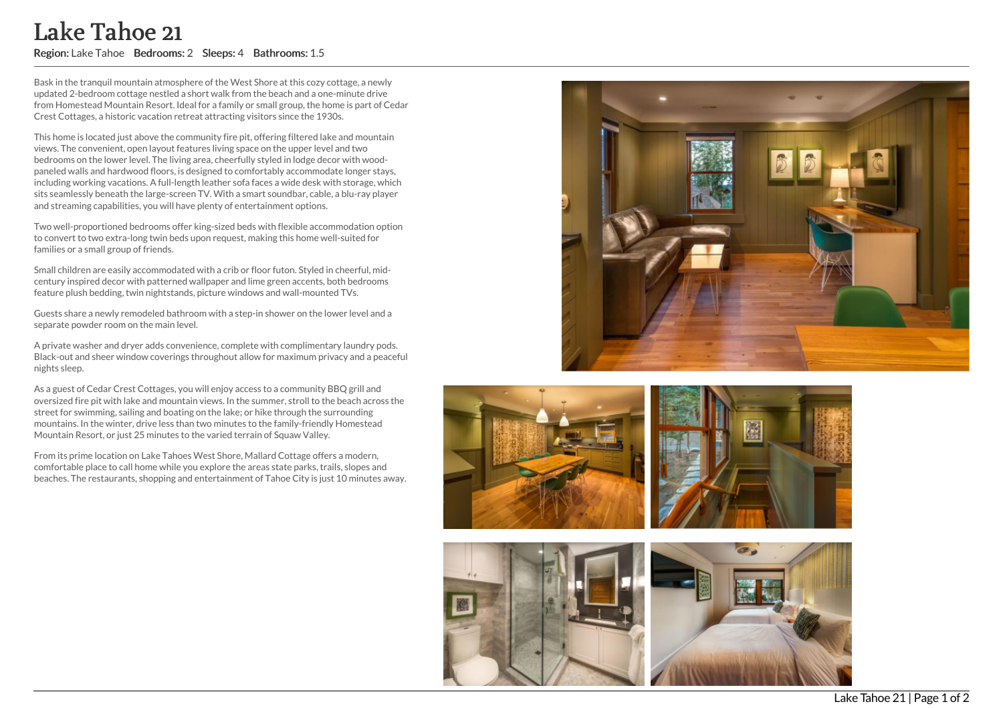## Lake Tahoe 21

## Region: Lake Tahoe Bedrooms: 2 Sleeps: 4 Bathrooms: 1.5

Bask in the tranquil mountain atmosphere of the West Shore at this cozy cottage, a newly updated 2-bedroom cottage nestled a short walk from the beach and a one-minute drive from Homestead Mountain Resort. Ideal for a family or small group, the home is part of Cedar Crest Cottages, a historic vacation retreat attracting visitors since the 1930s.

This home is located just above the community fire pit, offering filtered lake and mountain views. The convenient, open layout features living space on the upper level and two bedrooms on the lower level. The living area, cheerfully styled in lodge decor with woodpaneled walls and hardwood floors, is designed to comfortably accommodate longer stays, including working vacations. A full-length leather sofa faces a wide desk with storage, which sits seamlessly beneath the large-screen TV. With a smart soundbar, cable, a blu-ray player and streaming capabilities, you will have plenty of entertainment options.

Two well-proportioned bedrooms offer king-sized beds with flexible accommodation option to convert to two extra-long twin beds upon request, making this home well-suited for families or a small group of friends.

Small children are easily accommodated with a crib or floor futon. Styled in cheerful, midcentury inspired decor with patterned wallpaper and lime green accents, both bedrooms feature plush bedding, twin nightstands, picture windows and wall-mounted TVs.

Guests share a newly remodeled bathroom with a step-in shower on the lower level and a separate powder room on the main level.

A private washer and dryer adds convenience, complete with complimentary laundry pods. Black-out and sheer window coverings throughout allow for maximum privacy and a peaceful nights sleep.

As a guest of Cedar Crest Cottages, you will enjoy access to a community BBQ grill and oversized fire pit with lake and mountain views. In the summer, stroll to the beach across the street for swimming, sailing and boating on the lake; or hike through the surrounding mountains. In the winter, drive less than two minutes to the family-friendly Homestead Mountain Resort, or just 25 minutes to the varied terrain of Squaw Valley.

From its prime location on Lake Tahoes West Shore, Mallard Cottage offers a modern, comfortable place to call home while you explore the areas state parks, trails, slopes and beaches. The restaurants, shopping and entertainment of Tahoe City is just 10 minutes away.